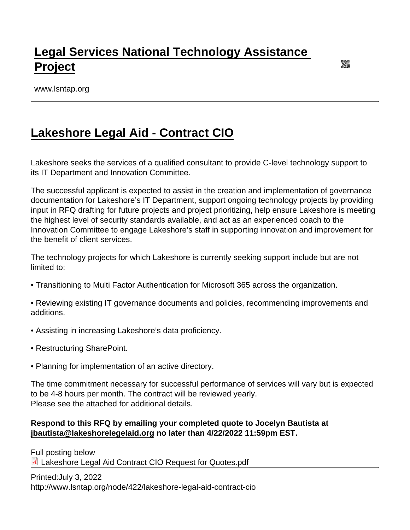## [Legal Services National Technology Assistance](https://www.lsntap.org/)  [Project](https://www.lsntap.org/)

www.lsntap.org

## [Lakeshore Legal Aid - Contract CIO](https://www.lsntap.org/node/422/lakeshore-legal-aid-contract-cio)

Lakeshore seeks the services of a qualified consultant to provide C-level technology support to its IT Department and Innovation Committee.

The successful applicant is expected to assist in the creation and implementation of governance documentation for Lakeshore's IT Department, support ongoing technology projects by providing input in RFQ drafting for future projects and project prioritizing, help ensure Lakeshore is meeting the highest level of security standards available, and act as an experienced coach to the Innovation Committee to engage Lakeshore's staff in supporting innovation and improvement for the benefit of client services.

The technology projects for which Lakeshore is currently seeking support include but are not limited to:

• Transitioning to Multi Factor Authentication for Microsoft 365 across the organization.

• Reviewing existing IT governance documents and policies, recommending improvements and additions.

- Assisting in increasing Lakeshore's data proficiency.
- Restructuring SharePoint.
- Planning for implementation of an active directory.

The time commitment necessary for successful performance of services will vary but is expected to be 4-8 hours per month. The contract will be reviewed yearly. Please see the attached for additional details.

Respond to this RFQ by emailing your completed quote to Jocelyn Bautista at [jbautista@lakeshorelegelaid.org](http://jbautista@lakeshorelegelaid.org) no later than 4/22/2022 11:59pm EST.

Full posting below

[Lakeshore Legal Aid Contract CIO Request for Quotes.pdf](https://www.lsntap.org/sites/lsntap.org/files/Lakeshore Legal Aid Contract CIO Request for Quotes.pdf)

Printed:July 3, 2022

http://www.lsntap.org/node/422/lakeshore-legal-aid-contract-cio